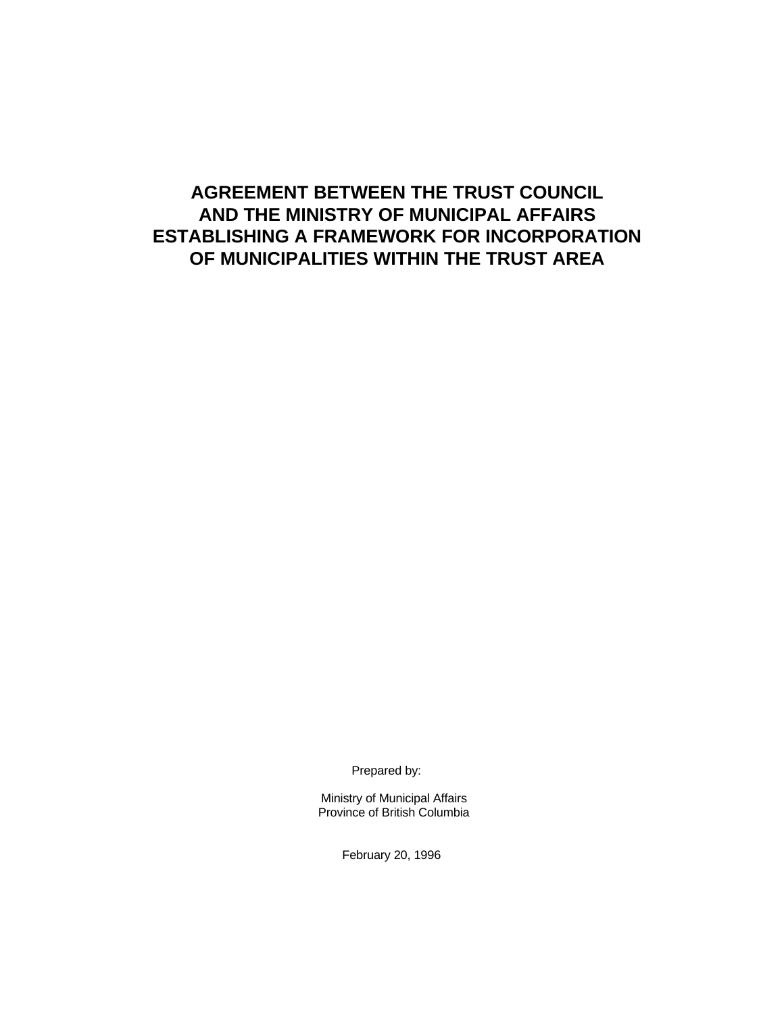# **AGREEMENT BETWEEN THE TRUST COUNCIL AND THE MINISTRY OF MUNICIPAL AFFAIRS ESTABLISHING A FRAMEWORK FOR INCORPORATION OF MUNICIPALITIES WITHIN THE TRUST AREA**

Prepared by:

Ministry of Municipal Affairs Province of British Columbia

February 20, 1996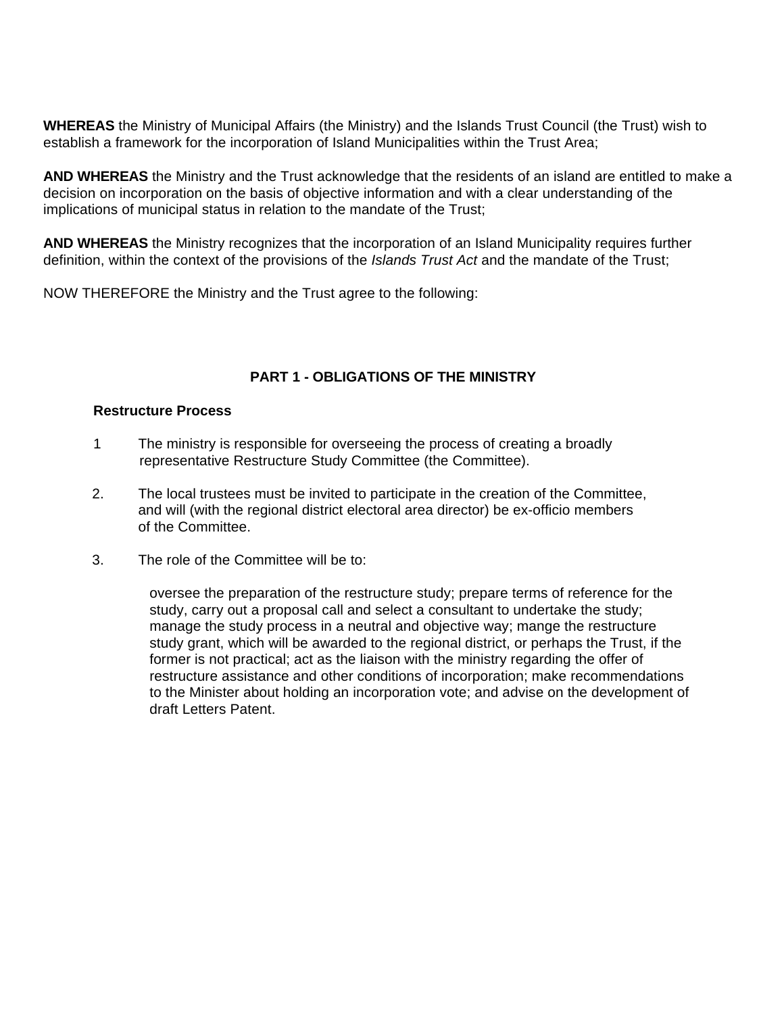**WHEREAS** the Ministry of Municipal Affairs (the Ministry) and the Islands Trust Council (the Trust) wish to establish a framework for the incorporation of Island Municipalities within the Trust Area;

**AND WHEREAS** the Ministry and the Trust acknowledge that the residents of an island are entitled to make a decision on incorporation on the basis of objective information and with a clear understanding of the implications of municipal status in relation to the mandate of the Trust;

**AND WHEREAS** the Ministry recognizes that the incorporation of an Island Municipality requires further definition, within the context of the provisions of the *Islands Trust Act* and the mandate of the Trust;

NOW THEREFORE the Ministry and the Trust agree to the following:

# **PART 1 - OBLIGATIONS OF THE MINISTRY**

#### **Restructure Process**

- 1 The ministry is responsible for overseeing the process of creating a broadly representative Restructure Study Committee (the Committee).
- 2. The local trustees must be invited to participate in the creation of the Committee, and will (with the regional district electoral area director) be ex-officio members of the Committee.
- 3. The role of the Committee will be to:

oversee the preparation of the restructure study; prepare terms of reference for the study, carry out a proposal call and select a consultant to undertake the study; manage the study process in a neutral and objective way; mange the restructure study grant, which will be awarded to the regional district, or perhaps the Trust, if the former is not practical; act as the liaison with the ministry regarding the offer of restructure assistance and other conditions of incorporation; make recommendations to the Minister about holding an incorporation vote; and advise on the development of draft Letters Patent.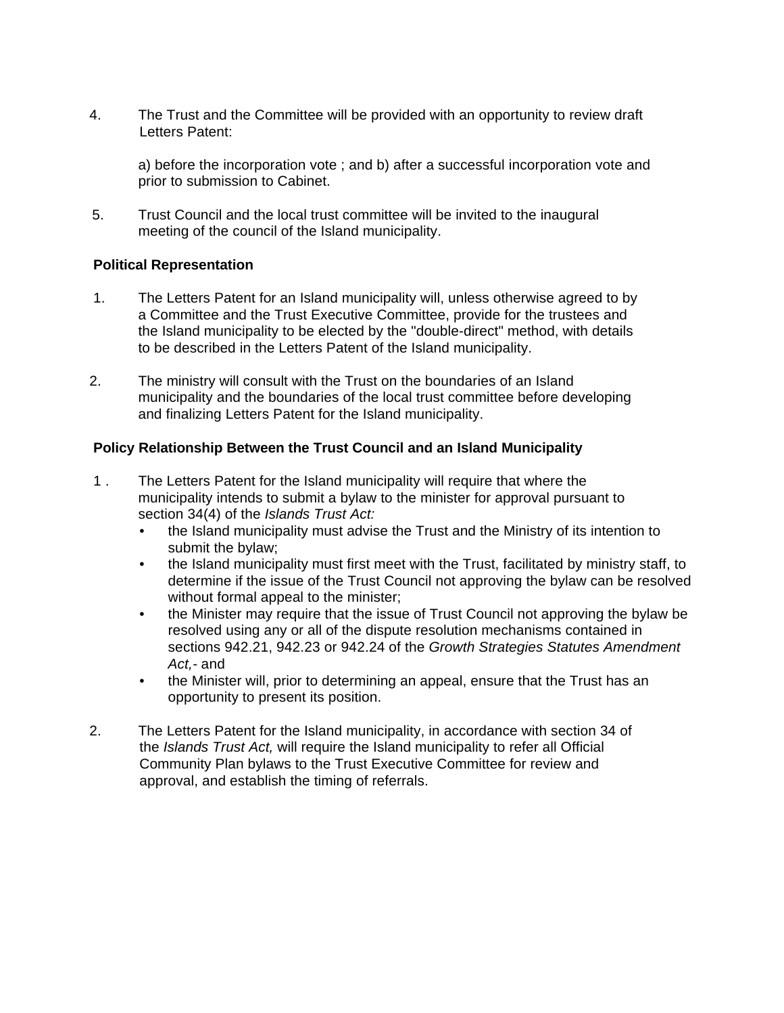4. The Trust and the Committee will be provided with an opportunity to review draft Letters Patent:

a) before the incorporation vote ; and b) after a successful incorporation vote and prior to submission to Cabinet.

5. Trust Council and the local trust committee will be invited to the inaugural meeting of the council of the Island municipality.

## **Political Representation**

- 1. The Letters Patent for an Island municipality will, unless otherwise agreed to by a Committee and the Trust Executive Committee, provide for the trustees and the Island municipality to be elected by the "double-direct" method, with details to be described in the Letters Patent of the Island municipality.
- 2. The ministry will consult with the Trust on the boundaries of an Island municipality and the boundaries of the local trust committee before developing and finalizing Letters Patent for the Island municipality.

## **Policy Relationship Between the Trust Council and an Island Municipality**

- 1 . The Letters Patent for the Island municipality will require that where the municipality intends to submit a bylaw to the minister for approval pursuant to section 34(4) of the *Islands Trust Act:*
	- the Island municipality must advise the Trust and the Ministry of its intention to submit the bylaw;
	- the Island municipality must first meet with the Trust, facilitated by ministry staff, to determine if the issue of the Trust Council not approving the bylaw can be resolved without formal appeal to the minister;
	- the Minister may require that the issue of Trust Council not approving the bylaw be resolved using any or all of the dispute resolution mechanisms contained in sections 942.21, 942.23 or 942.24 of the *Growth Strategies Statutes Amendment Act,-* and
	- the Minister will, prior to determining an appeal, ensure that the Trust has an opportunity to present its position.
- 2. The Letters Patent for the Island municipality, in accordance with section 34 of the *Islands Trust Act,* will require the Island municipality to refer all Official Community Plan bylaws to the Trust Executive Committee for review and approval, and establish the timing of referrals.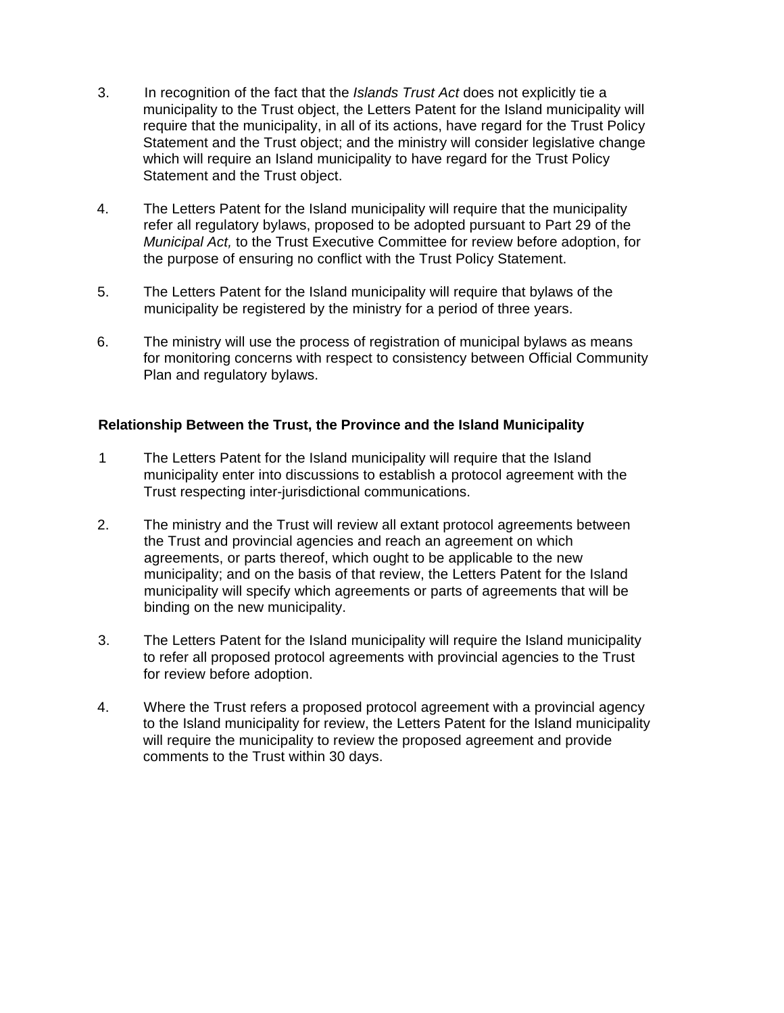- 3. In recognition of the fact that the *Islands Trust Act* does not explicitly tie a municipality to the Trust object, the Letters Patent for the Island municipality will require that the municipality, in all of its actions, have regard for the Trust Policy Statement and the Trust object; and the ministry will consider legislative change which will require an Island municipality to have regard for the Trust Policy Statement and the Trust object.
- 4. The Letters Patent for the Island municipality will require that the municipality refer all regulatory bylaws, proposed to be adopted pursuant to Part 29 of the *Municipal Act,* to the Trust Executive Committee for review before adoption, for the purpose of ensuring no conflict with the Trust Policy Statement.
- 5. The Letters Patent for the Island municipality will require that bylaws of the municipality be registered by the ministry for a period of three years.
- 6. The ministry will use the process of registration of municipal bylaws as means for monitoring concerns with respect to consistency between Official Community Plan and regulatory bylaws.

## **Relationship Between the Trust, the Province and the Island Municipality**

- 1 The Letters Patent for the Island municipality will require that the Island municipality enter into discussions to establish a protocol agreement with the Trust respecting inter-jurisdictional communications.
- 2. The ministry and the Trust will review all extant protocol agreements between the Trust and provincial agencies and reach an agreement on which agreements, or parts thereof, which ought to be applicable to the new municipality; and on the basis of that review, the Letters Patent for the Island municipality will specify which agreements or parts of agreements that will be binding on the new municipality.
- 3. The Letters Patent for the Island municipality will require the Island municipality to refer all proposed protocol agreements with provincial agencies to the Trust for review before adoption.
- 4. Where the Trust refers a proposed protocol agreement with a provincial agency to the Island municipality for review, the Letters Patent for the Island municipality will require the municipality to review the proposed agreement and provide comments to the Trust within 30 days.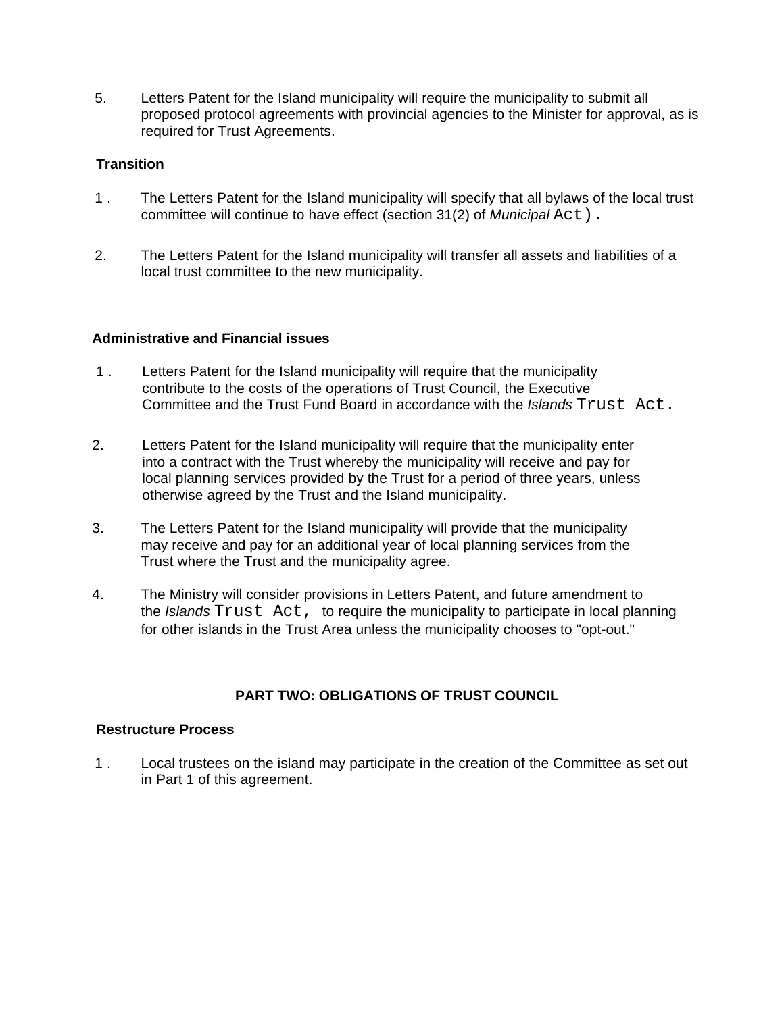5. Letters Patent for the Island municipality will require the municipality to submit all proposed protocol agreements with provincial agencies to the Minister for approval, as is required for Trust Agreements.

# **Transition**

- 1 . The Letters Patent for the Island municipality will specify that all bylaws of the local trust committee will continue to have effect (section 31(2) of *Municipal* Act).
- 2. The Letters Patent for the Island municipality will transfer all assets and liabilities of a local trust committee to the new municipality.

#### **Administrative and Financial issues**

- 1 . Letters Patent for the Island municipality will require that the municipality contribute to the costs of the operations of Trust Council, the Executive Committee and the Trust Fund Board in accordance with the *Islands* Trust Act.
- 2. Letters Patent for the Island municipality will require that the municipality enter into a contract with the Trust whereby the municipality will receive and pay for local planning services provided by the Trust for a period of three years, unless otherwise agreed by the Trust and the Island municipality.
- 3. The Letters Patent for the Island municipality will provide that the municipality may receive and pay for an additional year of local planning services from the Trust where the Trust and the municipality agree.
- 4. The Ministry will consider provisions in Letters Patent, and future amendment to the *Islands* Trust Act, to require the municipality to participate in local planning for other islands in the Trust Area unless the municipality chooses to "opt-out."

## **PART TWO: OBLIGATIONS OF TRUST COUNCIL**

#### **Restructure Process**

1 . Local trustees on the island may participate in the creation of the Committee as set out in Part 1 of this agreement.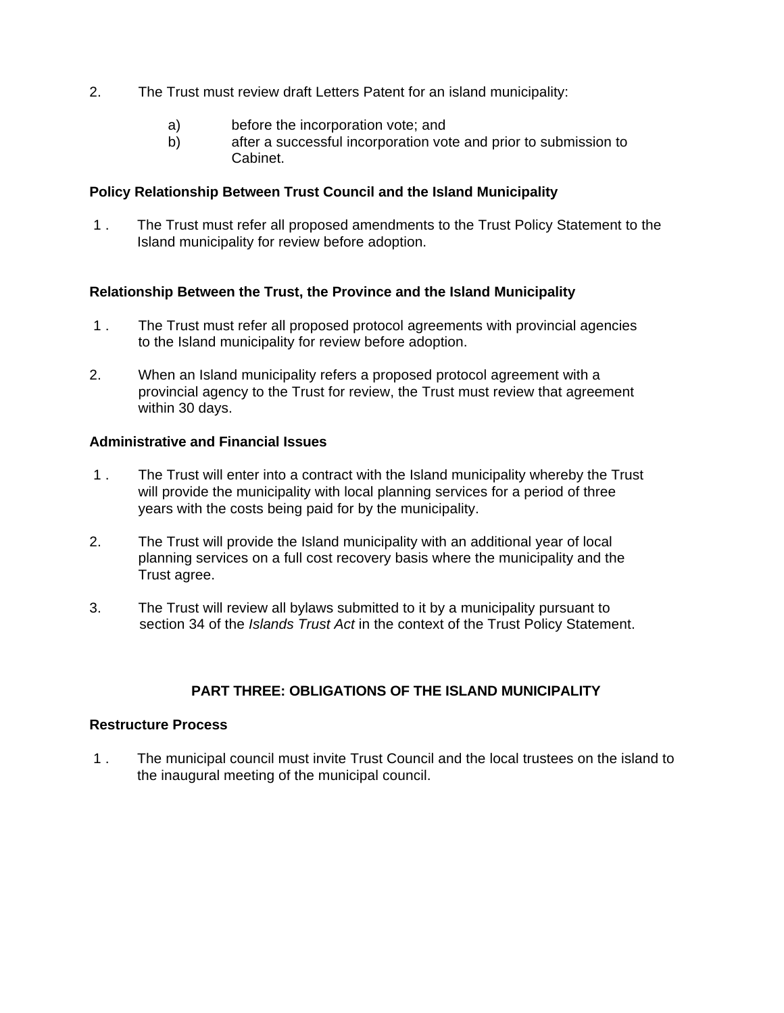- 2. The Trust must review draft Letters Patent for an island municipality:
	- a) before the incorporation vote; and
	- b) after a successful incorporation vote and prior to submission to Cabinet.

#### **Policy Relationship Between Trust Council and the Island Municipality**

1 . The Trust must refer all proposed amendments to the Trust Policy Statement to the Island municipality for review before adoption.

#### **Relationship Between the Trust, the Province and the Island Municipality**

- 1 . The Trust must refer all proposed protocol agreements with provincial agencies to the Island municipality for review before adoption.
- 2. When an Island municipality refers a proposed protocol agreement with a provincial agency to the Trust for review, the Trust must review that agreement within 30 days.

#### **Administrative and Financial Issues**

- 1 . The Trust will enter into a contract with the Island municipality whereby the Trust will provide the municipality with local planning services for a period of three years with the costs being paid for by the municipality.
- 2. The Trust will provide the Island municipality with an additional year of local planning services on a full cost recovery basis where the municipality and the Trust agree.
- 3. The Trust will review all bylaws submitted to it by a municipality pursuant to section 34 of the *Islands Trust Act* in the context of the Trust Policy Statement.

## **PART THREE: OBLIGATIONS OF THE ISLAND MUNICIPALITY**

### **Restructure Process**

1 . The municipal council must invite Trust Council and the local trustees on the island to the inaugural meeting of the municipal council.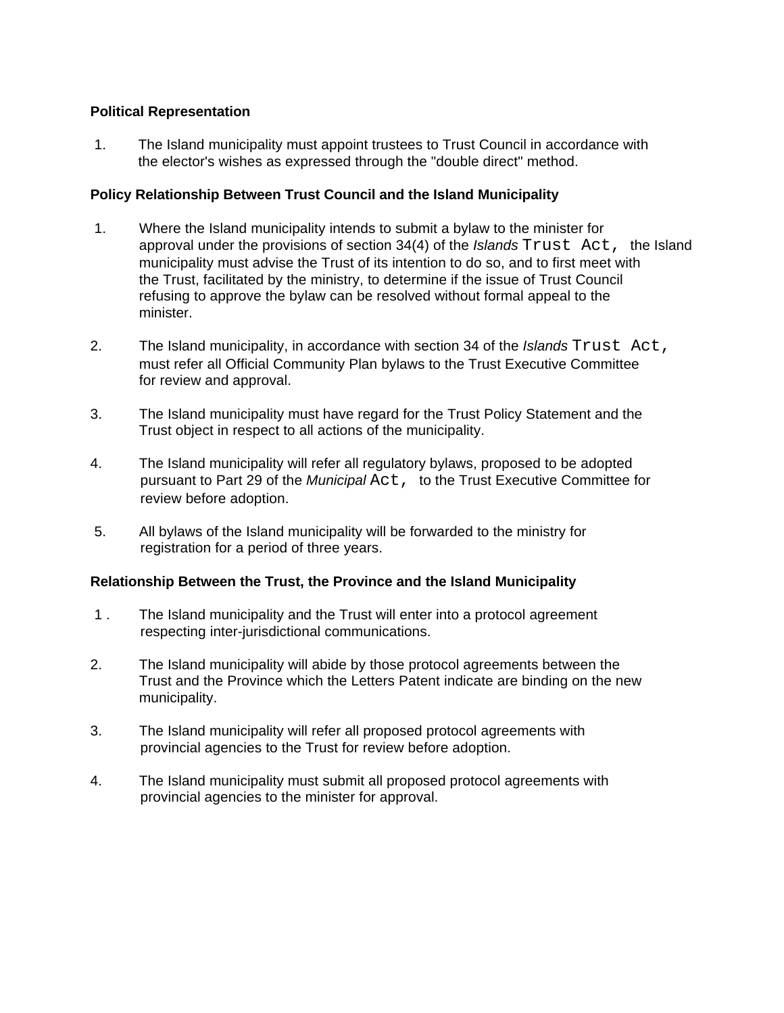## **Political Representation**

1. The Island municipality must appoint trustees to Trust Council in accordance with the elector's wishes as expressed through the "double direct" method.

# **Policy Relationship Between Trust Council and the Island Municipality**

- 1. Where the Island municipality intends to submit a bylaw to the minister for approval under the provisions of section 34(4) of the *Islands* Trust Act, the Island municipality must advise the Trust of its intention to do so, and to first meet with the Trust, facilitated by the ministry, to determine if the issue of Trust Council refusing to approve the bylaw can be resolved without formal appeal to the minister.
- 2. The Island municipality, in accordance with section 34 of the *Islands* Trust Act, must refer all Official Community Plan bylaws to the Trust Executive Committee for review and approval.
- 3. The Island municipality must have regard for the Trust Policy Statement and the Trust object in respect to all actions of the municipality.
- 4. The Island municipality will refer all regulatory bylaws, proposed to be adopted pursuant to Part 29 of the *Municipal* Act, to the Trust Executive Committee for review before adoption.
- 5. All bylaws of the Island municipality will be forwarded to the ministry for registration for a period of three years.

## **Relationship Between the Trust, the Province and the Island Municipality**

- 1 . The Island municipality and the Trust will enter into a protocol agreement respecting inter-jurisdictional communications.
- 2. The Island municipality will abide by those protocol agreements between the Trust and the Province which the Letters Patent indicate are binding on the new municipality.
- 3. The Island municipality will refer all proposed protocol agreements with provincial agencies to the Trust for review before adoption.
- 4. The Island municipality must submit all proposed protocol agreements with provincial agencies to the minister for approval.